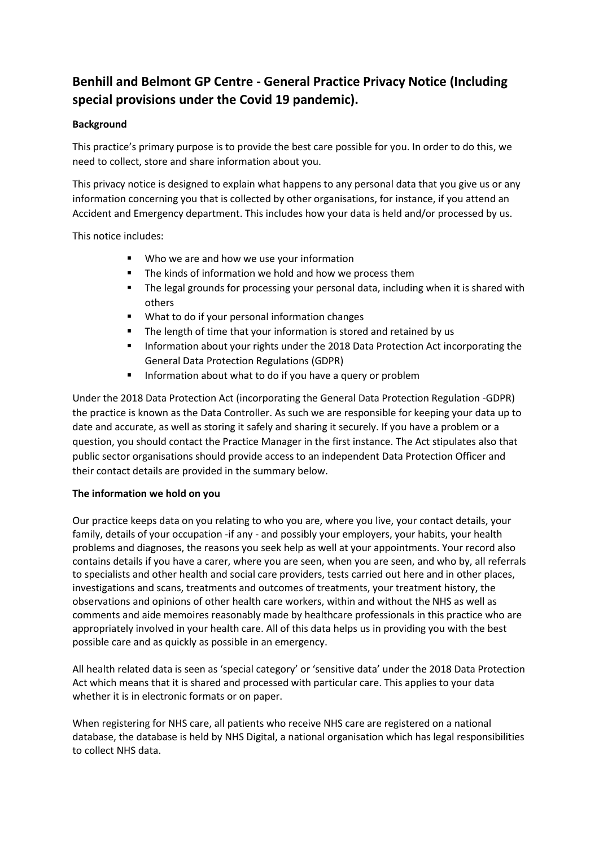# **Benhill and Belmont GP Centre - General Practice Privacy Notice (Including special provisions under the Covid 19 pandemic).**

## **Background**

This practice's primary purpose is to provide the best care possible for you. In order to do this, we need to collect, store and share information about you.

This privacy notice is designed to explain what happens to any personal data that you give us or any information concerning you that is collected by other organisations, for instance, if you attend an Accident and Emergency department. This includes how your data is held and/or processed by us.

This notice includes:

- Who we are and how we use your information
- The kinds of information we hold and how we process them
- The legal grounds for processing your personal data, including when it is shared with others
- What to do if your personal information changes
- The length of time that your information is stored and retained by us
- Information about your rights under the 2018 Data Protection Act incorporating the General Data Protection Regulations (GDPR)
- Information about what to do if you have a query or problem

Under the 2018 Data Protection Act (incorporating the General Data Protection Regulation -GDPR) the practice is known as the Data Controller. As such we are responsible for keeping your data up to date and accurate, as well as storing it safely and sharing it securely. If you have a problem or a question, you should contact the Practice Manager in the first instance. The Act stipulates also that public sector organisations should provide access to an independent Data Protection Officer and their contact details are provided in the summary below.

## **The information we hold on you**

Our practice keeps data on you relating to who you are, where you live, your contact details, your family, details of your occupation -if any - and possibly your employers, your habits, your health problems and diagnoses, the reasons you seek help as well at your appointments. Your record also contains details if you have a carer, where you are seen, when you are seen, and who by, all referrals to specialists and other health and social care providers, tests carried out here and in other places, investigations and scans, treatments and outcomes of treatments, your treatment history, the observations and opinions of other health care workers, within and without the NHS as well as comments and aide memoires reasonably made by healthcare professionals in this practice who are appropriately involved in your health care. All of this data helps us in providing you with the best possible care and as quickly as possible in an emergency.

All health related data is seen as 'special category' or 'sensitive data' under the 2018 Data Protection Act which means that it is shared and processed with particular care. This applies to your data whether it is in electronic formats or on paper.

When registering for NHS care, all patients who receive NHS care are registered on a national database, the database is held by NHS Digital, a national organisation which has legal responsibilities to collect NHS data.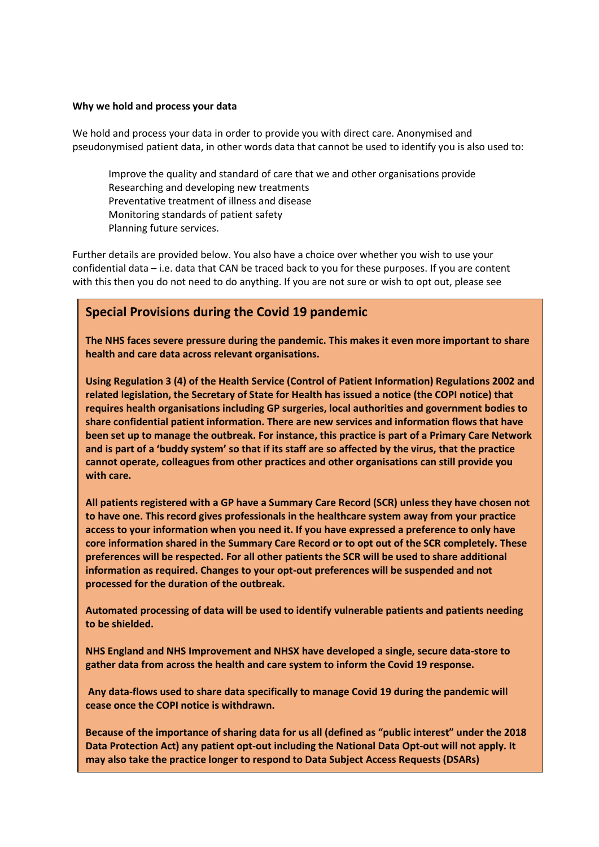#### **Why we hold and process your data**

We hold and process your data in order to provide you with direct care. Anonymised and pseudonymised patient data, in other words data that cannot be used to identify you is also used to:

Improve the quality and standard of care that we and other organisations provide Researching and developing new treatments Preventative treatment of illness and disease Monitoring standards of patient safety Planning future services.

Further details are provided below. You also have a choice over whether you wish to use your confidential data – i.e. data that CAN be traced back to you for these purposes. If you are content with this then you do not need to do anything. If you are not sure or wish to opt out, please see

# **Special Provisions during the Covid 19 pandemic**

**The NHS faces severe pressure during the pandemic. This makes it even more important to share health and care data across relevant organisations.** 

**Using Regulation 3 (4) of the Health Service (Control of Patient Information) Regulations 2002 and related legislation, the Secretary of State for Health has issued a notice (the COPI notice) that requires health organisations including GP surgeries, local authorities and government bodies to share confidential patient information. There are new services and information flows that have been set up to manage the outbreak. For instance, this practice is part of a Primary Care Network and is part of a 'buddy system' so that if its staff are so affected by the virus, that the practice cannot operate, colleagues from other practices and other organisations can still provide you with care.** 

**All patients registered with a GP have a Summary Care Record (SCR) unless they have chosen not to have one. This record gives professionals in the healthcare system away from your practice access to your information when you need it. If you have expressed a preference to only have core information shared in the Summary Care Record or to opt out of the SCR completely. These preferences will be respected. For all other patients the SCR will be used to share additional information as required. Changes to your opt-out preferences will be suspended and not processed for the duration of the outbreak.** 

**Automated processing of data will be used to identify vulnerable patients and patients needing to be shielded.**

**NHS England and NHS Improvement and NHSX have developed a single, secure data-store to gather data from across the health and care system to inform the Covid 19 response.** 

**Any data-flows used to share data specifically to manage Covid 19 during the pandemic will cease once the COPI notice is withdrawn.** 

**Because of the importance of sharing data for us all (defined as "public interest" under the 2018 Data Protection Act) any patient opt-out including the National Data Opt-out will not apply. It may also take the practice longer to respond to Data Subject Access Requests (DSARs)**

**During this period we may also offer you a consultation by video-conferencing link.**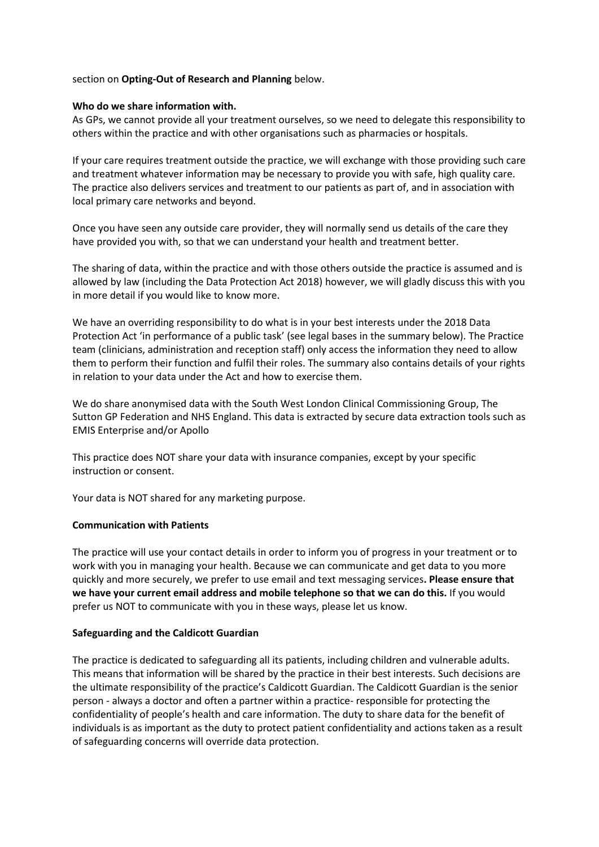#### section on **Opting-Out of Research and Planning** below.

#### **Who do we share information with.**

As GPs, we cannot provide all your treatment ourselves, so we need to delegate this responsibility to others within the practice and with other organisations such as pharmacies or hospitals.

If your care requires treatment outside the practice, we will exchange with those providing such care and treatment whatever information may be necessary to provide you with safe, high quality care. The practice also delivers services and treatment to our patients as part of, and in association with local primary care networks and beyond.

Once you have seen any outside care provider, they will normally send us details of the care they have provided you with, so that we can understand your health and treatment better.

The sharing of data, within the practice and with those others outside the practice is assumed and is allowed by law (including the Data Protection Act 2018) however, we will gladly discuss this with you in more detail if you would like to know more.

We have an overriding responsibility to do what is in your best interests under the 2018 Data Protection Act 'in performance of a public task' (see legal bases in the summary below). The Practice team (clinicians, administration and reception staff) only access the information they need to allow them to perform their function and fulfil their roles. The summary also contains details of your rights in relation to your data under the Act and how to exercise them.

We do share anonymised data with the South West London Clinical Commissioning Group, The Sutton GP Federation and NHS England. This data is extracted by secure data extraction tools such as EMIS Enterprise and/or Apollo

This practice does NOT share your data with insurance companies, except by your specific instruction or consent.

Your data is NOT shared for any marketing purpose.

#### **Communication with Patients**

The practice will use your contact details in order to inform you of progress in your treatment or to work with you in managing your health. Because we can communicate and get data to you more quickly and more securely, we prefer to use email and text messaging services**. Please ensure that we have your current email address and mobile telephone so that we can do this.** If you would prefer us NOT to communicate with you in these ways, please let us know.

#### **Safeguarding and the Caldicott Guardian**

The practice is dedicated to safeguarding all its patients, including children and vulnerable adults. This means that information will be shared by the practice in their best interests. Such decisions are the ultimate responsibility of the practice's Caldicott Guardian. The Caldicott Guardian is the senior person - always a doctor and often a partner within a practice- responsible for protecting the confidentiality of people's health and care information. The duty to share data for the benefit of individuals is as important as the duty to protect patient confidentiality and actions taken as a result of safeguarding concerns will override data protection.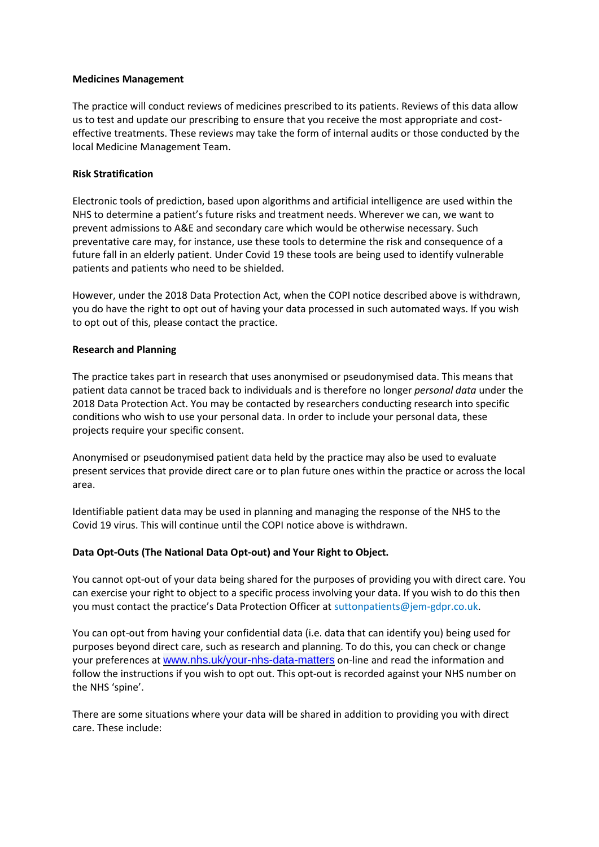#### **Medicines Management**

The practice will conduct reviews of medicines prescribed to its patients. Reviews of this data allow us to test and update our prescribing to ensure that you receive the most appropriate and costeffective treatments. These reviews may take the form of internal audits or those conducted by the local Medicine Management Team.

#### **Risk Stratification**

Electronic tools of prediction, based upon algorithms and artificial intelligence are used within the NHS to determine a patient's future risks and treatment needs. Wherever we can, we want to prevent admissions to A&E and secondary care which would be otherwise necessary. Such preventative care may, for instance, use these tools to determine the risk and consequence of a future fall in an elderly patient. Under Covid 19 these tools are being used to identify vulnerable patients and patients who need to be shielded.

However, under the 2018 Data Protection Act, when the COPI notice described above is withdrawn, you do have the right to opt out of having your data processed in such automated ways. If you wish to opt out of this, please contact the practice.

#### **Research and Planning**

The practice takes part in research that uses anonymised or pseudonymised data. This means that patient data cannot be traced back to individuals and is therefore no longer *personal data* under the 2018 Data Protection Act. You may be contacted by researchers conducting research into specific conditions who wish to use your personal data. In order to include your personal data, these projects require your specific consent.

Anonymised or pseudonymised patient data held by the practice may also be used to evaluate present services that provide direct care or to plan future ones within the practice or across the local area.

Identifiable patient data may be used in planning and managing the response of the NHS to the Covid 19 virus. This will continue until the COPI notice above is withdrawn.

#### **Data Opt-Outs (The National Data Opt-out) and Your Right to Object.**

You cannot opt-out of your data being shared for the purposes of providing you with direct care. You can exercise your right to object to a specific process involving your data. If you wish to do this then you must contact the practice's Data Protection Officer at suttonpatients@jem-gdpr.co.uk.

You can opt-out from having your confidential data (i.e. data that can identify you) being used for purposes beyond direct care, such as research and planning. To do this, you can check or change your preferences at [www.nhs.uk/your-nhs-data-matters](http://www.nhs.uk/your-nhs-data-matters) on-line and read the information and follow the instructions if you wish to opt out. This opt-out is recorded against your NHS number on the NHS 'spine'.

There are some situations where your data will be shared in addition to providing you with direct care. These include: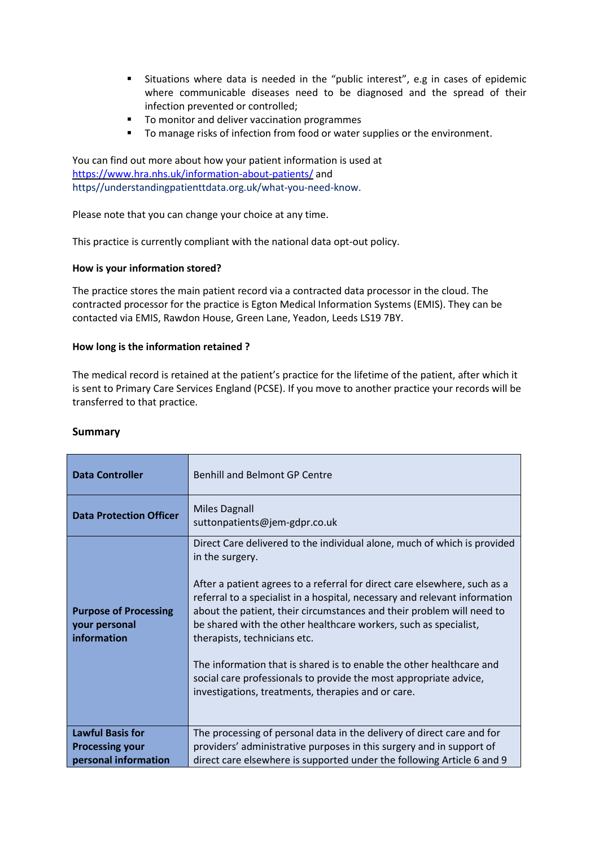- Situations where data is needed in the "public interest", e.g in cases of epidemic where communicable diseases need to be diagnosed and the spread of their infection prevented or controlled;
- To monitor and deliver vaccination programmes
- To manage risks of infection from food or water supplies or the environment.

You can find out more about how your patient information is used at <https://www.hra.nhs.uk/information-about-patients/> and https//understandingpatienttdata.org.uk/what-you-need-know.

Please note that you can change your choice at any time.

This practice is currently compliant with the national data opt-out policy.

#### **How is your information stored?**

The practice stores the main patient record via a contracted data processor in the cloud. The contracted processor for the practice is Egton Medical Information Systems (EMIS). They can be contacted via EMIS, Rawdon House, Green Lane, Yeadon, Leeds LS19 7BY.

#### **How long is the information retained ?**

The medical record is retained at the patient's practice for the lifetime of the patient, after which it is sent to Primary Care Services England (PCSE). If you move to another practice your records will be transferred to that practice.

| <b>Data Controller</b>                                                    | <b>Benhill and Belmont GP Centre</b>                                                                                                                                                                                                                                                                                                                                                                                                                                                                                                                                                                                                   |
|---------------------------------------------------------------------------|----------------------------------------------------------------------------------------------------------------------------------------------------------------------------------------------------------------------------------------------------------------------------------------------------------------------------------------------------------------------------------------------------------------------------------------------------------------------------------------------------------------------------------------------------------------------------------------------------------------------------------------|
| <b>Data Protection Officer</b>                                            | <b>Miles Dagnall</b><br>suttonpatients@jem-gdpr.co.uk                                                                                                                                                                                                                                                                                                                                                                                                                                                                                                                                                                                  |
| <b>Purpose of Processing</b><br>your personal<br>information              | Direct Care delivered to the individual alone, much of which is provided<br>in the surgery.<br>After a patient agrees to a referral for direct care elsewhere, such as a<br>referral to a specialist in a hospital, necessary and relevant information<br>about the patient, their circumstances and their problem will need to<br>be shared with the other healthcare workers, such as specialist,<br>therapists, technicians etc.<br>The information that is shared is to enable the other healthcare and<br>social care professionals to provide the most appropriate advice,<br>investigations, treatments, therapies and or care. |
| <b>Lawful Basis for</b><br><b>Processing your</b><br>personal information | The processing of personal data in the delivery of direct care and for<br>providers' administrative purposes in this surgery and in support of<br>direct care elsewhere is supported under the following Article 6 and 9                                                                                                                                                                                                                                                                                                                                                                                                               |

#### **Summary**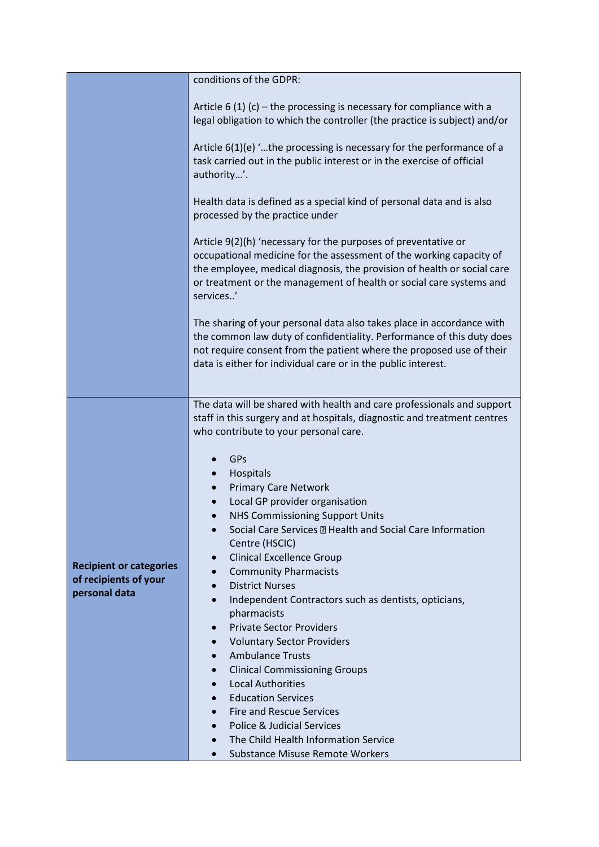|                                | conditions of the GDPR:                                                                                                               |
|--------------------------------|---------------------------------------------------------------------------------------------------------------------------------------|
|                                |                                                                                                                                       |
|                                | Article 6 (1) (c) – the processing is necessary for compliance with a                                                                 |
|                                | legal obligation to which the controller (the practice is subject) and/or                                                             |
|                                | Article 6(1)(e) 'the processing is necessary for the performance of a                                                                 |
|                                | task carried out in the public interest or in the exercise of official                                                                |
|                                | authority'.                                                                                                                           |
|                                | Health data is defined as a special kind of personal data and is also                                                                 |
|                                | processed by the practice under                                                                                                       |
|                                | Article 9(2)(h) 'necessary for the purposes of preventative or                                                                        |
|                                | occupational medicine for the assessment of the working capacity of                                                                   |
|                                | the employee, medical diagnosis, the provision of health or social care                                                               |
|                                | or treatment or the management of health or social care systems and<br>services'                                                      |
|                                |                                                                                                                                       |
|                                | The sharing of your personal data also takes place in accordance with                                                                 |
|                                | the common law duty of confidentiality. Performance of this duty does                                                                 |
|                                | not require consent from the patient where the proposed use of their<br>data is either for individual care or in the public interest. |
|                                |                                                                                                                                       |
|                                |                                                                                                                                       |
|                                | The data will be shared with health and care professionals and support                                                                |
|                                | staff in this surgery and at hospitals, diagnostic and treatment centres<br>who contribute to your personal care.                     |
|                                |                                                                                                                                       |
|                                | GPs                                                                                                                                   |
|                                | Hospitals                                                                                                                             |
|                                | <b>Primary Care Network</b><br>Local GP provider organisation<br>$\bullet$                                                            |
|                                | <b>NHS Commissioning Support Units</b>                                                                                                |
|                                | Social Care Services <b>D</b> Health and Social Care Information                                                                      |
| <b>Recipient or categories</b> | Centre (HSCIC)                                                                                                                        |
|                                | <b>Clinical Excellence Group</b><br>$\bullet$                                                                                         |
| of recipients of your          | <b>Community Pharmacists</b><br>$\bullet$<br><b>District Nurses</b>                                                                   |
| personal data                  | Independent Contractors such as dentists, opticians,<br>$\bullet$                                                                     |
|                                | pharmacists                                                                                                                           |
|                                | <b>Private Sector Providers</b><br>$\bullet$                                                                                          |
|                                | <b>Voluntary Sector Providers</b><br>$\bullet$                                                                                        |
|                                | <b>Ambulance Trusts</b><br>$\bullet$<br><b>Clinical Commissioning Groups</b><br>$\bullet$                                             |
|                                | <b>Local Authorities</b><br>$\bullet$                                                                                                 |
|                                | <b>Education Services</b>                                                                                                             |
|                                | <b>Fire and Rescue Services</b><br>$\bullet$                                                                                          |
|                                | Police & Judicial Services<br>$\bullet$                                                                                               |
|                                | The Child Health Information Service                                                                                                  |
|                                | Substance Misuse Remote Workers                                                                                                       |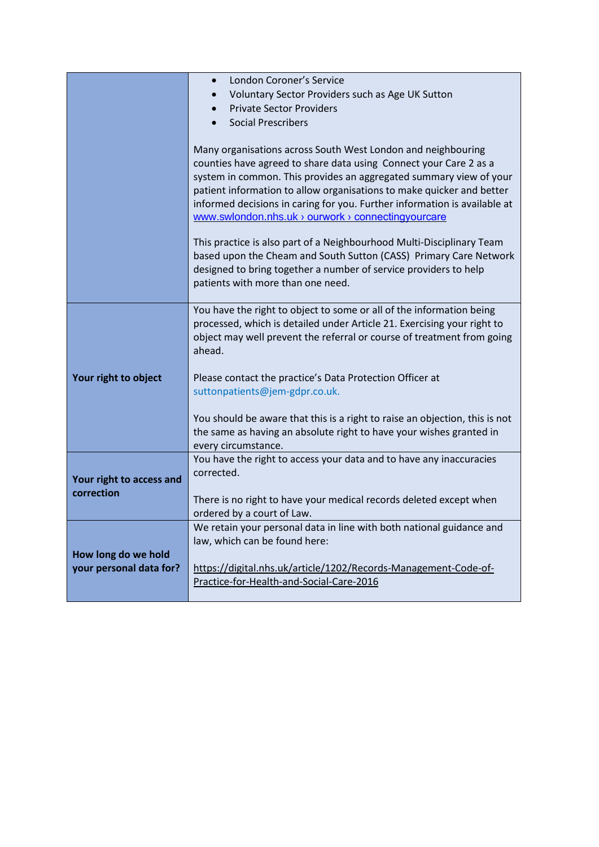|                                                | London Coroner's Service<br>$\bullet$                                             |
|------------------------------------------------|-----------------------------------------------------------------------------------|
|                                                | Voluntary Sector Providers such as Age UK Sutton                                  |
|                                                | <b>Private Sector Providers</b>                                                   |
|                                                | <b>Social Prescribers</b>                                                         |
|                                                |                                                                                   |
|                                                | Many organisations across South West London and neighbouring                      |
|                                                | counties have agreed to share data using Connect your Care 2 as a                 |
|                                                | system in common. This provides an aggregated summary view of your                |
|                                                | patient information to allow organisations to make quicker and better             |
|                                                | informed decisions in caring for you. Further information is available at         |
|                                                | www.swlondon.nhs.uk > ourwork > connectingyourcare                                |
|                                                | This practice is also part of a Neighbourhood Multi-Disciplinary Team             |
|                                                | based upon the Cheam and South Sutton (CASS) Primary Care Network                 |
|                                                | designed to bring together a number of service providers to help                  |
|                                                | patients with more than one need.                                                 |
|                                                |                                                                                   |
|                                                | You have the right to object to some or all of the information being              |
|                                                | processed, which is detailed under Article 21. Exercising your right to           |
|                                                | object may well prevent the referral or course of treatment from going<br>ahead.  |
| Your right to object                           |                                                                                   |
|                                                | Please contact the practice's Data Protection Officer at                          |
|                                                | suttonpatients@jem-gdpr.co.uk.                                                    |
|                                                |                                                                                   |
|                                                | You should be aware that this is a right to raise an objection, this is not       |
|                                                | the same as having an absolute right to have your wishes granted in               |
|                                                | every circumstance.                                                               |
| Your right to access and                       | You have the right to access your data and to have any inaccuracies<br>corrected. |
|                                                |                                                                                   |
| correction                                     | There is no right to have your medical records deleted except when                |
|                                                | ordered by a court of Law.                                                        |
|                                                | We retain your personal data in line with both national guidance and              |
| How long do we hold<br>your personal data for? | law, which can be found here:                                                     |
|                                                |                                                                                   |
|                                                | https://digital.nhs.uk/article/1202/Records-Management-Code-of-                   |
|                                                | Practice-for-Health-and-Social-Care-2016                                          |